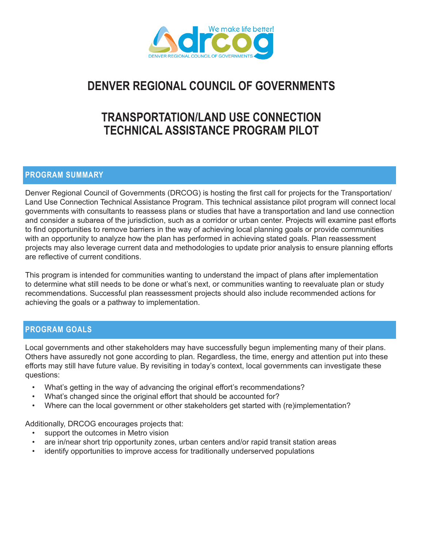

# **DENVER REGIONAL COUNCIL OF GOVERNMENTS**

# **TRANSPORTATION/LAND USE CONNECTION TECHNICAL ASSISTANCE PROGRAM PILOT**

# **PROGRAM SUMMARY**

Denver Regional Council of Governments (DRCOG) is hosting the first call for projects for the Transportation/ Land Use Connection Technical Assistance Program. This technical assistance pilot program will connect local governments with consultants to reassess plans or studies that have a transportation and land use connection and consider a subarea of the jurisdiction, such as a corridor or urban center. Projects will examine past efforts to find opportunities to remove barriers in the way of achieving local planning goals or provide communities with an opportunity to analyze how the plan has performed in achieving stated goals. Plan reassessment projects may also leverage current data and methodologies to update prior analysis to ensure planning efforts are reflective of current conditions.

This program is intended for communities wanting to understand the impact of plans after implementation to determine what still needs to be done or what's next, or communities wanting to reevaluate plan or study recommendations. Successful plan reassessment projects should also include recommended actions for achieving the goals or a pathway to implementation.

# **PROGRAM GOALS**

Local governments and other stakeholders may have successfully begun implementing many of their plans. Others have assuredly not gone according to plan. Regardless, the time, energy and attention put into these efforts may still have future value. By revisiting in today's context, local governments can investigate these questions:

- What's getting in the way of advancing the original effort's recommendations?
- What's changed since the original effort that should be accounted for?
- Where can the local government or other stakeholders get started with (re)implementation?

Additionally, DRCOG encourages projects that:

- support the outcomes in Metro vision
- are in/near short trip opportunity zones, urban centers and/or rapid transit station areas
- identify opportunities to improve access for traditionally underserved populations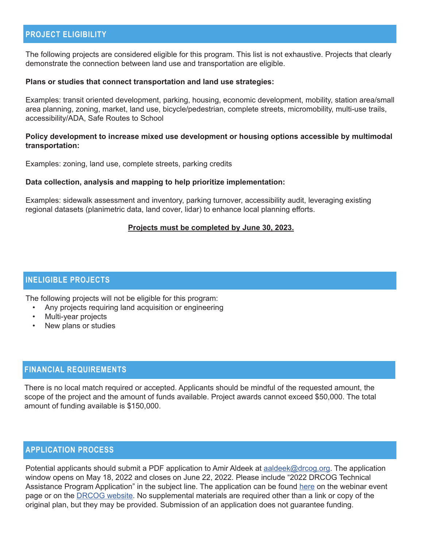# **PROJECT ELIGIBILITY**

The following projects are considered eligible for this program. This list is not exhaustive. Projects that clearly demonstrate the connection between land use and transportation are eligible.

#### **Plans or studies that connect transportation and land use strategies:**

Examples: transit oriented development, parking, housing, economic development, mobility, station area/small area planning, zoning, market, land use, bicycle/pedestrian, complete streets, micromobility, multi-use trails, accessibility/ADA, Safe Routes to School

### **Policy development to increase mixed use development or housing options accessible by multimodal transportation:**

Examples: zoning, land use, complete streets, parking credits

#### **Data collection, analysis and mapping to help prioritize implementation:**

Examples: sidewalk assessment and inventory, parking turnover, accessibility audit, leveraging existing regional datasets (planimetric data, land cover, lidar) to enhance local planning efforts.

#### **Projects must be completed by June 30, 2023.**

## **INELIGIBLE PROJECTS**

The following projects will not be eligible for this program:

- Any projects requiring land acquisition or engineering
- Multi-year projects
- New plans or studies

# **FINANCIAL REQUIREMENTS**

There is no local match required or accepted. Applicants should be mindful of the requested amount, the scope of the project and the amount of funds available. Project awards cannot exceed \$50,000. The total amount of funding available is \$150,000.

## **APPLICATION PROCESS**

Potential applicants should submit a PDF application to Amir Aldeek at aaldeek@drcog.org. The application window opens on May 18, 2022 and closes on June 22, 2022. Please include "2022 DRCOG Technical Assistance Program Application" in the subject line. The application can be found here on the webinar event page or on the DRCOG website. No supplemental materials are required other than a link or copy of the original plan, but they may be provided. Submission of an application does not guarantee funding.